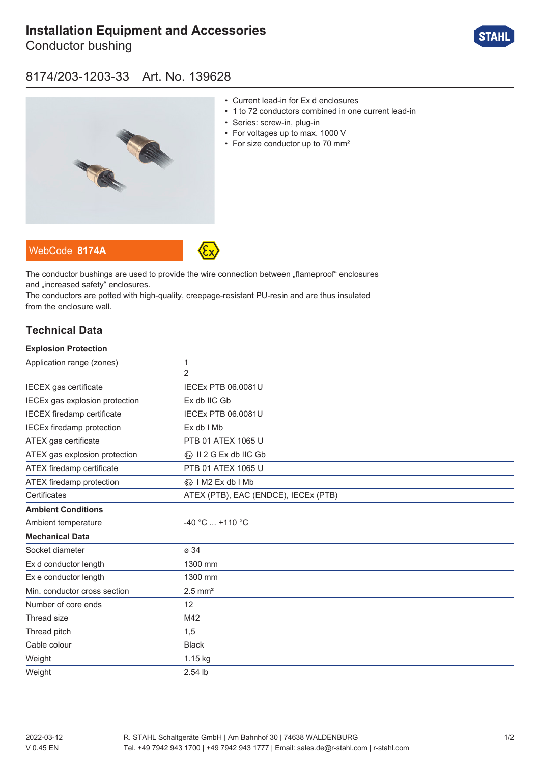# **[Installation Equipment and Accessories](https://r-stahl.com/en/global/products/materialid/139628)**

Conductor bushing



### 8174/203-1203-33 Art. No. 139628



- Current lead-in for Ex d enclosures
- 1 to 72 conductors combined in one current lead-in
- Series: screw-in, plug-in
- For voltages up to max. 1000 V
- For size conductor up to 70 mm<sup>2</sup>

WebCode **[8174A](https://r-stahl.com/en/global/products/downloads/webcode/8174A)**



The conductor bushings are used to provide the wire connection between "flameproof" enclosures and ..increased safety" enclosures.

The conductors are potted with high-quality, creepage-resistant PU-resin and are thus insulated from the enclosure wall.

### **Technical Data**

| 1                                       |
|-----------------------------------------|
| 2                                       |
| <b>IECEx PTB 06.0081U</b>               |
| Ex db IIC Gb                            |
| <b>IECEx PTB 06.0081U</b>               |
| Ex db I Mb                              |
| PTB 01 ATEX 1065 U                      |
| $\langle x \rangle$ II 2 G Ex db IIC Gb |
| PTB 01 ATEX 1065 U                      |
| <b>«</b> » I M2 Ex db I Mb              |
| ATEX (PTB), EAC (ENDCE), IECEx (PTB)    |
|                                         |
| -40 °C  +110 °C                         |
|                                         |
| ø 34                                    |
| 1300 mm                                 |
| 1300 mm                                 |
| $2.5$ mm <sup>2</sup>                   |
| 12                                      |
| M42                                     |
| 1,5                                     |
| <b>Black</b>                            |
| 1.15 kg                                 |
| 2.54 lb                                 |
|                                         |